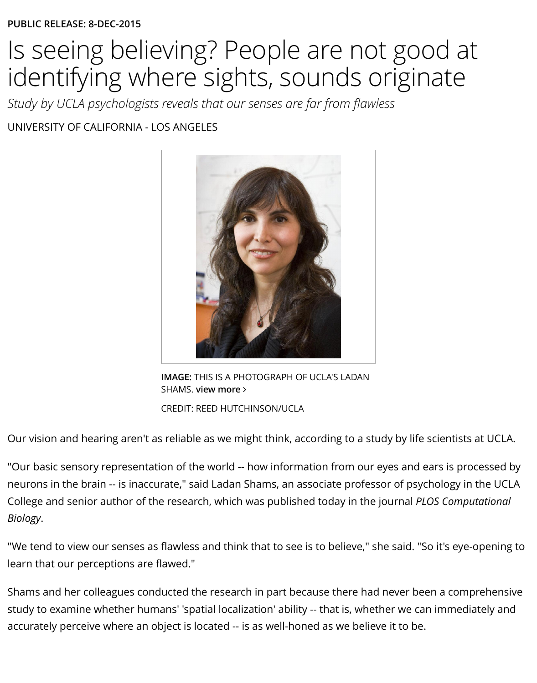*Study by UCLA psychologists reveals that our senses are far from flawless* UNIVERSITY OF CALIFORNIA - LOS ANGELES



**IMAGE:** THIS IS A PHOTOGRAPH OF UCLA'S LADAN SHAMS. **view more** ∠

CREDIT: REED HUTCHINSON/UCLA

Our vision and hearing aren't a[s reliable as we might think, according to a stu](http://www.eurekalert.org/multimedia/pub/104945.php)dy by life scient

"Our basic sensory representation of the world -- how information from our eyes and ears is neurons in the brain -- is inaccurate," s[aid Ladan S](http://www.eurekalert.org/multimedia/pub/104945.php)hams, an associate professor of psycholog College and senior author of the research, which was published today in the journal *PLOS Cor Biology*.

"We tend to view our senses as flawless and think that to see is to believe," she said. "So it's  $\epsilon$ learn that our perceptions are flawed."

Shams and her colleagues conducted the research in part because there had never been a comprehensive study to examine whether humans' 'spatial localization' ability -- that is, whether we can imm accurately perceive where an object is located -- is as well-honed as we believe it to be.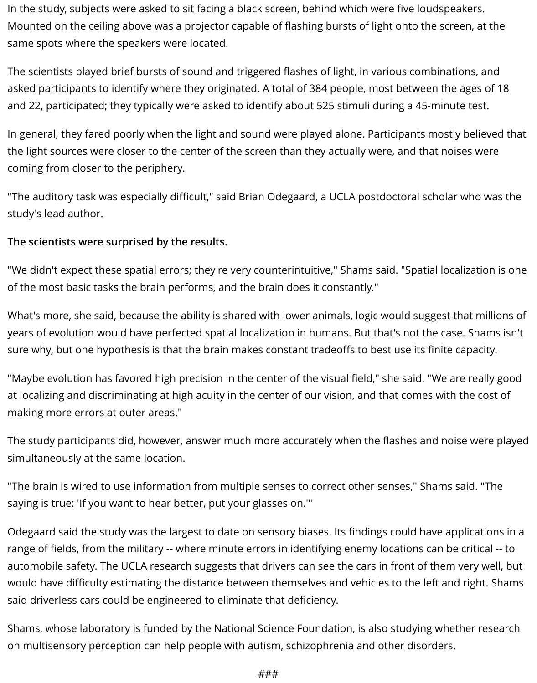In the study, subjects were asked to sit facing a black screen, behind which were five loudspeakers. Mounted on the ceiling above was a projector capable of flashing bursts of light onto the screen, at the same spots where the speakers were located.

The scientists played brief bursts of sound and triggered flashes of light, in various combinations, and asked participants to identify where they originated. A total of 384 people, most between the ages of 18 and 22, participated; they typically were asked to identify about 525 stimuli during a 45-minute test.

In general, they fared poorly when the light and sound were played alone. Participants mostly believed that the light sources were closer to the center of the screen than they actually were, and that noises were coming from closer to the periphery.

"The auditory task was especially difficult," said Brian Odegaard, a UCLA postdoctoral scholar who was the study's lead author.

## **The scientists were surprised by the results.**

"We didn't expect these spatial errors; they're very counterintuitive," Shams said. "Spatial localization is one of the most basic tasks the brain performs, and the brain does it constantly."

What's more, she said, because the ability is shared with lower animals, logic would suggest that millions of years of evolution would have perfected spatial localization in humans. But that's not the case. Shams isn't sure why, but one hypothesis is that the brain makes constant tradeoffs to best use its finite capacity.

"Maybe evolution has favored high precision in the center of the visual field," she said. "We are really good at localizing and discriminating at high acuity in the center of our vision, and that comes with the cost of making more errors at outer areas."

The study participants did, however, answer much more accurately when the flashes and noise were played simultaneously at the same location.

"The brain is wired to use information from multiple senses to correct other senses," Shams said. "The saying is true: 'If you want to hear better, put your glasses on.'"

Odegaard said the study was the largest to date on sensory biases. Its findings could have applications in a range of fields, from the military -- where minute errors in identifying enemy locations can be critical -- to automobile safety. The UCLA research suggests that drivers can see the cars in front of them very well, but would have difficulty estimating the distance between themselves and vehicles to the left and right. Shams said driverless cars could be engineered to eliminate that deficiency.

Shams, whose laboratory is funded by the National Science Foundation, is also studying whether research on multisensory perception can help people with autism, schizophrenia and other disorders.